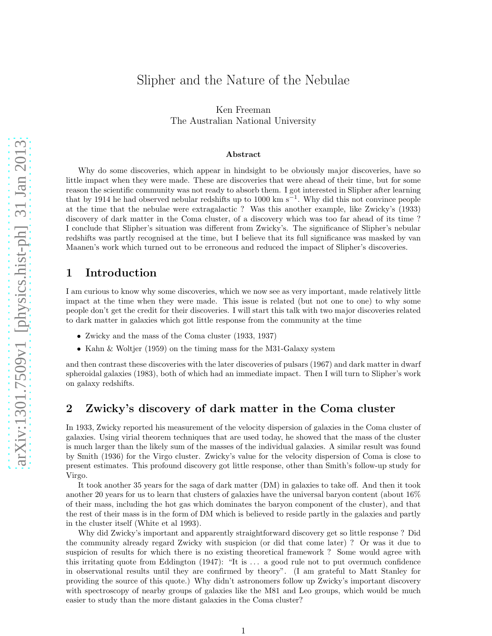# Slipher and the Nature of the Nebulae

Ken Freeman The Australian National University

#### Abstract

Why do some discoveries, which appear in hindsight to be obviously major discoveries, have so little impact when they were made. These are discoveries that were ahead of their time, but for some reason the scientific community was not ready to absorb them. I got interested in Slipher after learning that by 1914 he had observed nebular redshifts up to 1000 km s−<sup>1</sup> . Why did this not convince people at the time that the nebulae were extragalactic ? Was this another example, like Zwicky's (1933) discovery of dark matter in the Coma cluster, of a discovery which was too far ahead of its time ? I conclude that Slipher's situation was different from Zwicky's. The significance of Slipher's nebular redshifts was partly recognised at the time, but I believe that its full significance was masked by van Maanen's work which turned out to be erroneous and reduced the impact of Slipher's discoveries.

## 1 Introduction

I am curious to know why some discoveries, which we now see as very important, made relatively little impact at the time when they were made. This issue is related (but not one to one) to why some people don't get the credit for their discoveries. I will start this talk with two major discoveries related to dark matter in galaxies which got little response from the community at the time

- Zwicky and the mass of the Coma cluster (1933, 1937)
- Kahn & Woltjer (1959) on the timing mass for the M31-Galaxy system

and then contrast these discoveries with the later discoveries of pulsars (1967) and dark matter in dwarf spheroidal galaxies (1983), both of which had an immediate impact. Then I will turn to Slipher's work on galaxy redshifts.

## 2 Zwicky's discovery of dark matter in the Coma cluster

In 1933, Zwicky reported his measurement of the velocity dispersion of galaxies in the Coma cluster of galaxies. Using virial theorem techniques that are used today, he showed that the mass of the cluster is much larger than the likely sum of the masses of the individual galaxies. A similar result was found by Smith (1936) for the Virgo cluster. Zwicky's value for the velocity dispersion of Coma is close to present estimates. This profound discovery got little response, other than Smith's follow-up study for Virgo.

It took another 35 years for the saga of dark matter (DM) in galaxies to take off. And then it took another 20 years for us to learn that clusters of galaxies have the universal baryon content (about 16% of their mass, including the hot gas which dominates the baryon component of the cluster), and that the rest of their mass is in the form of DM which is believed to reside partly in the galaxies and partly in the cluster itself (White et al 1993).

Why did Zwicky's important and apparently straightforward discovery get so little response ? Did the community already regard Zwicky with suspicion (or did that come later) ? Or was it due to suspicion of results for which there is no existing theoretical framework ? Some would agree with this irritating quote from Eddington  $(1947)$ : "It is ... a good rule not to put overmuch confidence in observational results until they are confirmed by theory". (I am grateful to Matt Stanley for providing the source of this quote.) Why didn't astronomers follow up Zwicky's important discovery with spectroscopy of nearby groups of galaxies like the M81 and Leo groups, which would be much easier to study than the more distant galaxies in the Coma cluster?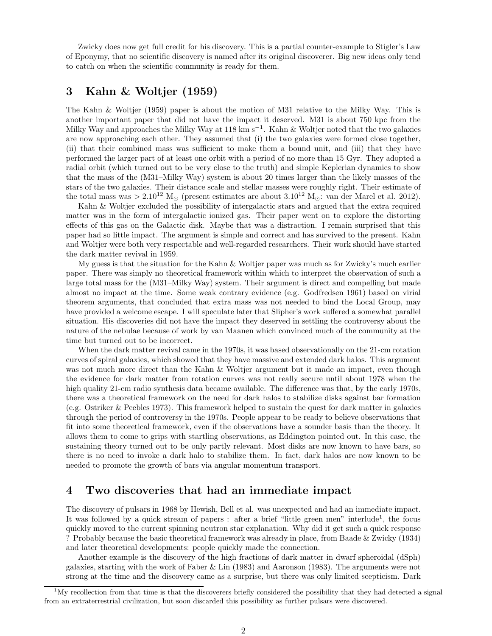Zwicky does now get full credit for his discovery. This is a partial counter-example to Stigler's Law of Eponymy, that no scientific discovery is named after its original discoverer. Big new ideas only tend to catch on when the scientific community is ready for them.

## 3 Kahn & Woltjer (1959)

The Kahn & Woltjer (1959) paper is about the motion of M31 relative to the Milky Way. This is another important paper that did not have the impact it deserved. M31 is about 750 kpc from the Milky Way and approaches the Milky Way at 118 km s−<sup>1</sup> . Kahn & Woltjer noted that the two galaxies are now approaching each other. They assumed that (i) the two galaxies were formed close together, (ii) that their combined mass was sufficient to make them a bound unit, and (iii) that they have performed the larger part of at least one orbit with a period of no more than 15 Gyr. They adopted a radial orbit (which turned out to be very close to the truth) and simple Keplerian dynamics to show that the mass of the (M31–Milky Way) system is about 20 times larger than the likely masses of the stars of the two galaxies. Their distance scale and stellar masses were roughly right. Their estimate of the total mass was >  $2.10^{12}$  M<sub>☉</sub> (present estimates are about  $3.10^{12}$  M<sub>☉</sub>: van der Marel et al. 2012).

Kahn & Woltjer excluded the possibility of intergalactic stars and argued that the extra required matter was in the form of intergalactic ionized gas. Their paper went on to explore the distorting effects of this gas on the Galactic disk. Maybe that was a distraction. I remain surprised that this paper had so little impact. The argument is simple and correct and has survived to the present. Kahn and Woltjer were both very respectable and well-regarded researchers. Their work should have started the dark matter revival in 1959.

My guess is that the situation for the Kahn & Woltjer paper was much as for Zwicky's much earlier paper. There was simply no theoretical framework within which to interpret the observation of such a large total mass for the (M31–Milky Way) system. Their argument is direct and compelling but made almost no impact at the time. Some weak contrary evidence (e.g. Godfredsen 1961) based on virial theorem arguments, that concluded that extra mass was not needed to bind the Local Group, may have provided a welcome escape. I will speculate later that Slipher's work suffered a somewhat parallel situation. His discoveries did not have the impact they deserved in settling the controversy about the nature of the nebulae because of work by van Maanen which convinced much of the community at the time but turned out to be incorrect.

When the dark matter revival came in the 1970s, it was based observationally on the 21-cm rotation curves of spiral galaxies, which showed that they have massive and extended dark halos. This argument was not much more direct than the Kahn & Woltjer argument but it made an impact, even though the evidence for dark matter from rotation curves was not really secure until about 1978 when the high quality 21-cm radio synthesis data became available. The difference was that, by the early 1970s, there was a theoretical framework on the need for dark halos to stabilize disks against bar formation (e.g. Ostriker & Peebles 1973). This framework helped to sustain the quest for dark matter in galaxies through the period of controversy in the 1970s. People appear to be ready to believe observations that fit into some theoretical framework, even if the observations have a sounder basis than the theory. It allows them to come to grips with startling observations, as Eddington pointed out. In this case, the sustaining theory turned out to be only partly relevant. Most disks are now known to have bars, so there is no need to invoke a dark halo to stabilize them. In fact, dark halos are now known to be needed to promote the growth of bars via angular momentum transport.

## 4 Two discoveries that had an immediate impact

The discovery of pulsars in 1968 by Hewish, Bell et al. was unexpected and had an immediate impact. It was followed by a quick stream of papers : after a brief "little green men" interlude<sup>1</sup>, the focus quickly moved to the current spinning neutron star explanation. Why did it get such a quick response ? Probably because the basic theoretical framework was already in place, from Baade & Zwicky (1934) and later theoretical developments: people quickly made the connection.

Another example is the discovery of the high fractions of dark matter in dwarf spheroidal (dSph) galaxies, starting with the work of Faber & Lin (1983) and Aaronson (1983). The arguments were not strong at the time and the discovery came as a surprise, but there was only limited scepticism. Dark

 $1\text{My}\xspace$  recollection from that time is that the discoverers briefly considered the possibility that they had detected a signal from an extraterrestrial civilization, but soon discarded this possibility as further pulsars were discovered.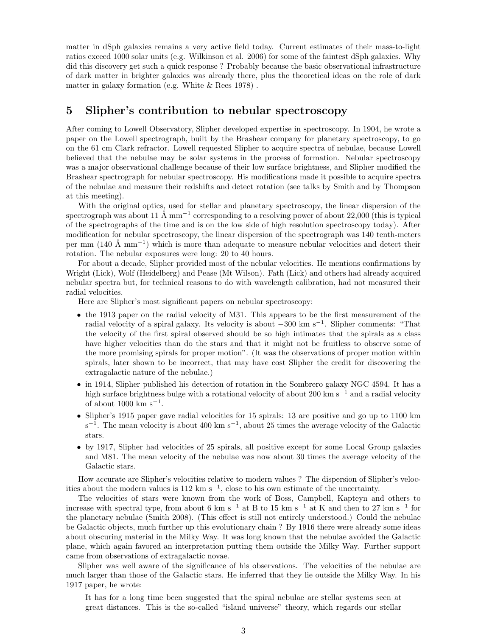matter in dSph galaxies remains a very active field today. Current estimates of their mass-to-light ratios exceed 1000 solar units (e.g. Wilkinson et al. 2006) for some of the faintest dSph galaxies. Why did this discovery get such a quick response ? Probably because the basic observational infrastructure of dark matter in brighter galaxies was already there, plus the theoretical ideas on the role of dark matter in galaxy formation (e.g. White & Rees 1978) .

## 5 Slipher's contribution to nebular spectroscopy

After coming to Lowell Observatory, Slipher developed expertise in spectroscopy. In 1904, he wrote a paper on the Lowell spectrograph, built by the Brashear company for planetary spectroscopy, to go on the 61 cm Clark refractor. Lowell requested Slipher to acquire spectra of nebulae, because Lowell believed that the nebulae may be solar systems in the process of formation. Nebular spectroscopy was a major observational challenge because of their low surface brightness, and Slipher modified the Brashear spectrograph for nebular spectroscopy. His modifications made it possible to acquire spectra of the nebulae and measure their redshifts and detect rotation (see talks by Smith and by Thompson at this meeting).

With the original optics, used for stellar and planetary spectroscopy, the linear dispersion of the spectrograph was about  $11 \text{ Å mm}^{-1}$  corresponding to a resolving power of about 22,000 (this is typical of the spectrographs of the time and is on the low side of high resolution spectroscopy today). After modification for nebular spectroscopy, the linear dispersion of the spectrograph was 140 tenth-meters per mm (140 Å mm<sup>-1</sup>) which is more than adequate to measure nebular velocities and detect their rotation. The nebular exposures were long: 20 to 40 hours.

For about a decade, Slipher provided most of the nebular velocities. He mentions confirmations by Wright (Lick), Wolf (Heidelberg) and Pease (Mt Wilson). Fath (Lick) and others had already acquired nebular spectra but, for technical reasons to do with wavelength calibration, had not measured their radial velocities.

Here are Slipher's most significant papers on nebular spectroscopy:

- the 1913 paper on the radial velocity of M31. This appears to be the first measurement of the radial velocity of a spiral galaxy. Its velocity is about −300 km s<sup>−</sup><sup>1</sup> . Slipher comments: "That the velocity of the first spiral observed should be so high intimates that the spirals as a class have higher velocities than do the stars and that it might not be fruitless to observe some of the more promising spirals for proper motion". (It was the observations of proper motion within spirals, later shown to be incorrect, that may have cost Slipher the credit for discovering the extragalactic nature of the nebulae.)
- in 1914, Slipher published his detection of rotation in the Sombrero galaxy NGC 4594. It has a high surface brightness bulge with a rotational velocity of about 200 km s<sup> $-1$ </sup> and a radial velocity of about  $1000 \text{ km s}^{-1}$ .
- Slipher's 1915 paper gave radial velocities for 15 spirals: 13 are positive and go up to 1100 km s<sup>-1</sup>. The mean velocity is about 400 km s<sup>-1</sup>, about 25 times the average velocity of the Galactic stars.
- by 1917, Slipher had velocities of 25 spirals, all positive except for some Local Group galaxies and M81. The mean velocity of the nebulae was now about 30 times the average velocity of the Galactic stars.

How accurate are Slipher's velocities relative to modern values ? The dispersion of Slipher's velocities about the modern values is 112 km s<sup>-1</sup>, close to his own estimate of the uncertainty.

The velocities of stars were known from the work of Boss, Campbell, Kapteyn and others to increase with spectral type, from about 6 km s<sup>-1</sup> at B to 15 km s<sup>-1</sup> at K and then to 27 km s<sup>-1</sup> for the planetary nebulae (Smith 2008). (This effect is still not entirely understood.) Could the nebulae be Galactic objects, much further up this evolutionary chain ? By 1916 there were already some ideas about obscuring material in the Milky Way. It was long known that the nebulae avoided the Galactic plane, which again favored an interpretation putting them outside the Milky Way. Further support came from observations of extragalactic novae.

Slipher was well aware of the significance of his observations. The velocities of the nebulae are much larger than those of the Galactic stars. He inferred that they lie outside the Milky Way. In his 1917 paper, he wrote:

It has for a long time been suggested that the spiral nebulae are stellar systems seen at great distances. This is the so-called "island universe" theory, which regards our stellar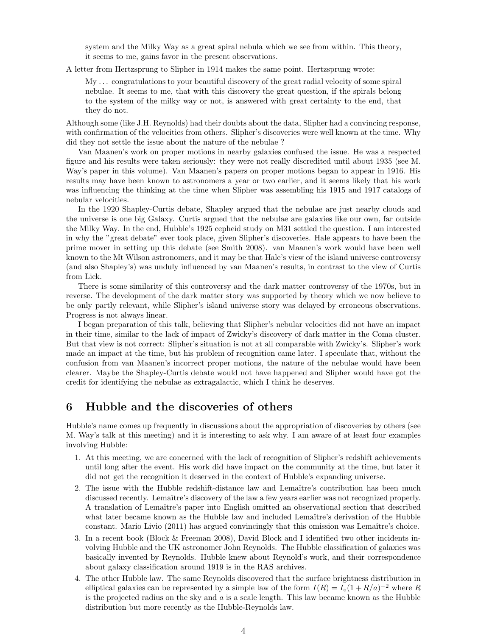system and the Milky Way as a great spiral nebula which we see from within. This theory, it seems to me, gains favor in the present observations.

A letter from Hertzsprung to Slipher in 1914 makes the same point. Hertzsprung wrote:

My . . . congratulations to your beautiful discovery of the great radial velocity of some spiral nebulae. It seems to me, that with this discovery the great question, if the spirals belong to the system of the milky way or not, is answered with great certainty to the end, that they do not.

Although some (like J.H. Reynolds) had their doubts about the data, Slipher had a convincing response, with confirmation of the velocities from others. Slipher's discoveries were well known at the time. Why did they not settle the issue about the nature of the nebulae ?

Van Maanen's work on proper motions in nearby galaxies confused the issue. He was a respected figure and his results were taken seriously: they were not really discredited until about 1935 (see M. Way's paper in this volume). Van Maanen's papers on proper motions began to appear in 1916. His results may have been known to astronomers a year or two earlier, and it seems likely that his work was influencing the thinking at the time when Slipher was assembling his 1915 and 1917 catalogs of nebular velocities.

In the 1920 Shapley-Curtis debate, Shapley argued that the nebulae are just nearby clouds and the universe is one big Galaxy. Curtis argued that the nebulae are galaxies like our own, far outside the Milky Way. In the end, Hubble's 1925 cepheid study on M31 settled the question. I am interested in why the "great debate" ever took place, given Slipher's discoveries. Hale appears to have been the prime mover in setting up this debate (see Smith 2008). van Maanen's work would have been well known to the Mt Wilson astronomers, and it may be that Hale's view of the island universe controversy (and also Shapley's) was unduly influenced by van Maanen's results, in contrast to the view of Curtis from Lick.

There is some similarity of this controversy and the dark matter controversy of the 1970s, but in reverse. The development of the dark matter story was supported by theory which we now believe to be only partly relevant, while Slipher's island universe story was delayed by erroneous observations. Progress is not always linear.

I began preparation of this talk, believing that Slipher's nebular velocities did not have an impact in their time, similar to the lack of impact of Zwicky's discovery of dark matter in the Coma cluster. But that view is not correct: Slipher's situation is not at all comparable with Zwicky's. Slipher's work made an impact at the time, but his problem of recognition came later. I speculate that, without the confusion from van Maanen's incorrect proper motions, the nature of the nebulae would have been clearer. Maybe the Shapley-Curtis debate would not have happened and Slipher would have got the credit for identifying the nebulae as extragalactic, which I think he deserves.

#### 6 Hubble and the discoveries of others

Hubble's name comes up frequently in discussions about the appropriation of discoveries by others (see M. Way's talk at this meeting) and it is interesting to ask why. I am aware of at least four examples involving Hubble:

- 1. At this meeting, we are concerned with the lack of recognition of Slipher's redshift achievements until long after the event. His work did have impact on the community at the time, but later it did not get the recognition it deserved in the context of Hubble's expanding universe.
- 2. The issue with the Hubble redshift-distance law and Lemaître's contribution has been much discussed recently. Lemaître's discovery of the law a few years earlier was not recognized properly. A translation of Lemaître's paper into English omitted an observational section that described what later became known as the Hubble law and included Lemaître's derivation of the Hubble constant. Mario Livio (2011) has argued convincingly that this omission was Lemaître's choice.
- 3. In a recent book (Block & Freeman 2008), David Block and I identified two other incidents involving Hubble and the UK astronomer John Reynolds. The Hubble classification of galaxies was basically invented by Reynolds. Hubble knew about Reynold's work, and their correspondence about galaxy classification around 1919 is in the RAS archives.
- 4. The other Hubble law. The same Reynolds discovered that the surface brightness distribution in elliptical galaxies can be represented by a simple law of the form  $I(R) = I_o(1 + R/a)^{-2}$  where R is the projected radius on the sky and  $a$  is a scale length. This law became known as the Hubble distribution but more recently as the Hubble-Reynolds law.